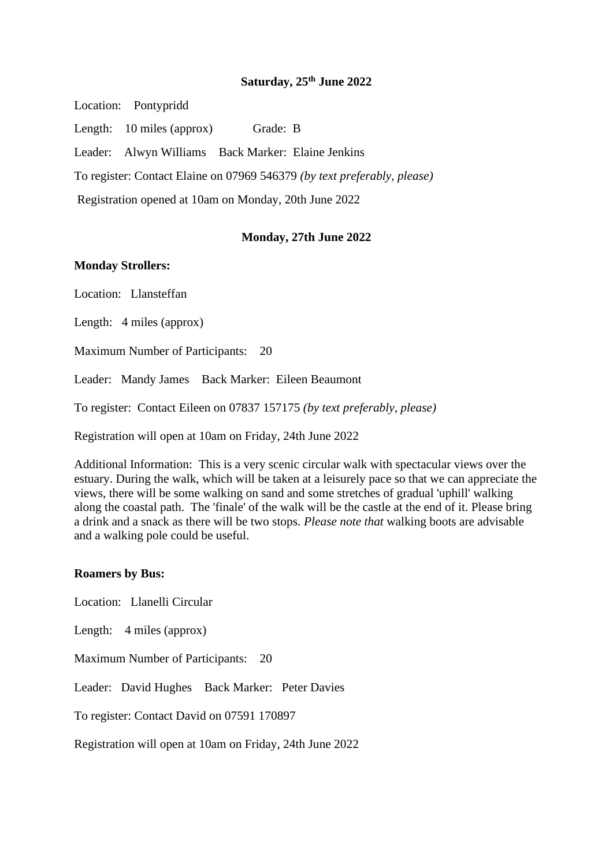## **Saturday, 25th June 2022**

Location: Pontypridd Length: 10 miles (approx) Grade: B Leader: Alwyn Williams Back Marker: Elaine Jenkins To register: Contact Elaine on 07969 546379 *(by text preferably, please)* Registration opened at 10am on Monday, 20th June 2022

## **Monday, 27th June 2022**

## **Monday Strollers:**

Location: Llansteffan

Length: 4 miles (approx)

Maximum Number of Participants: 20

Leader: Mandy James Back Marker: Eileen Beaumont

To register: Contact Eileen on 07837 157175 *(by text preferably, please)*

Registration will open at 10am on Friday, 24th June 2022

Additional Information: This is a very scenic circular walk with spectacular views over the estuary. During the walk, which will be taken at a leisurely pace so that we can appreciate the views, there will be some walking on sand and some stretches of gradual 'uphill' walking along the coastal path. The 'finale' of the walk will be the castle at the end of it. Please bring a drink and a snack as there will be two stops. *Please note that* walking boots are advisable and a walking pole could be useful.

## **Roamers by Bus:**

Location: Llanelli Circular

Length: 4 miles (approx)

Maximum Number of Participants: 20

Leader: David Hughes Back Marker: Peter Davies

To register: Contact David on 07591 170897

Registration will open at 10am on Friday, 24th June 2022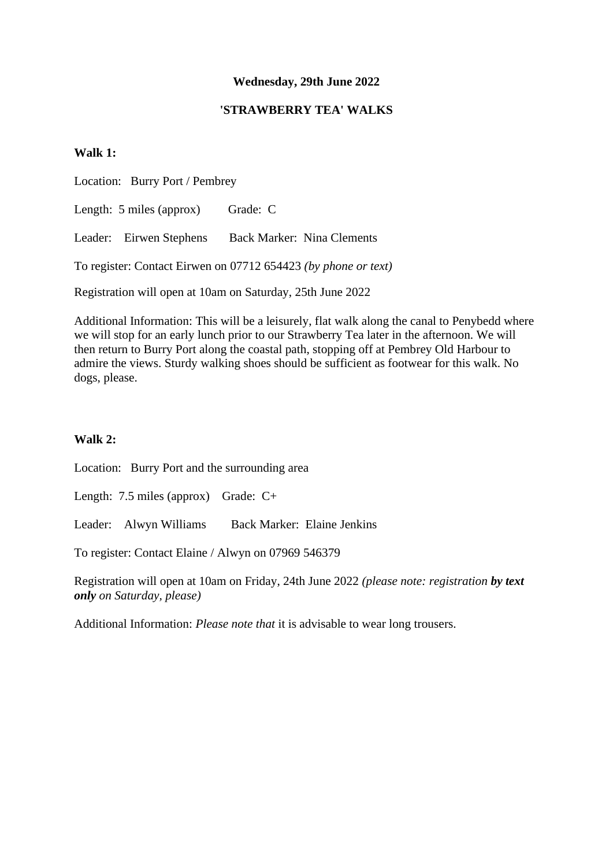# **Wednesday, 29th June 2022**

## **'STRAWBERRY TEA' WALKS**

# **Walk 1:**

Location: Burry Port / Pembrey

Length: 5 miles (approx) Grade: C

Leader: Eirwen Stephens Back Marker: Nina Clements

To register: Contact Eirwen on 07712 654423 *(by phone or text)*

Registration will open at 10am on Saturday, 25th June 2022

Additional Information: This will be a leisurely, flat walk along the canal to Penybedd where we will stop for an early lunch prior to our Strawberry Tea later in the afternoon. We will then return to Burry Port along the coastal path, stopping off at Pembrey Old Harbour to admire the views. Sturdy walking shoes should be sufficient as footwear for this walk. No dogs, please.

# **Walk 2:**

Location: Burry Port and the surrounding area

Length: 7.5 miles (approx) Grade: C+

Leader: Alwyn Williams Back Marker: Elaine Jenkins

To register: Contact Elaine / Alwyn on 07969 546379

Registration will open at 10am on Friday, 24th June 2022 *(please note: registration by text only on Saturday, please)*

Additional Information: *Please note that* it is advisable to wear long trousers.